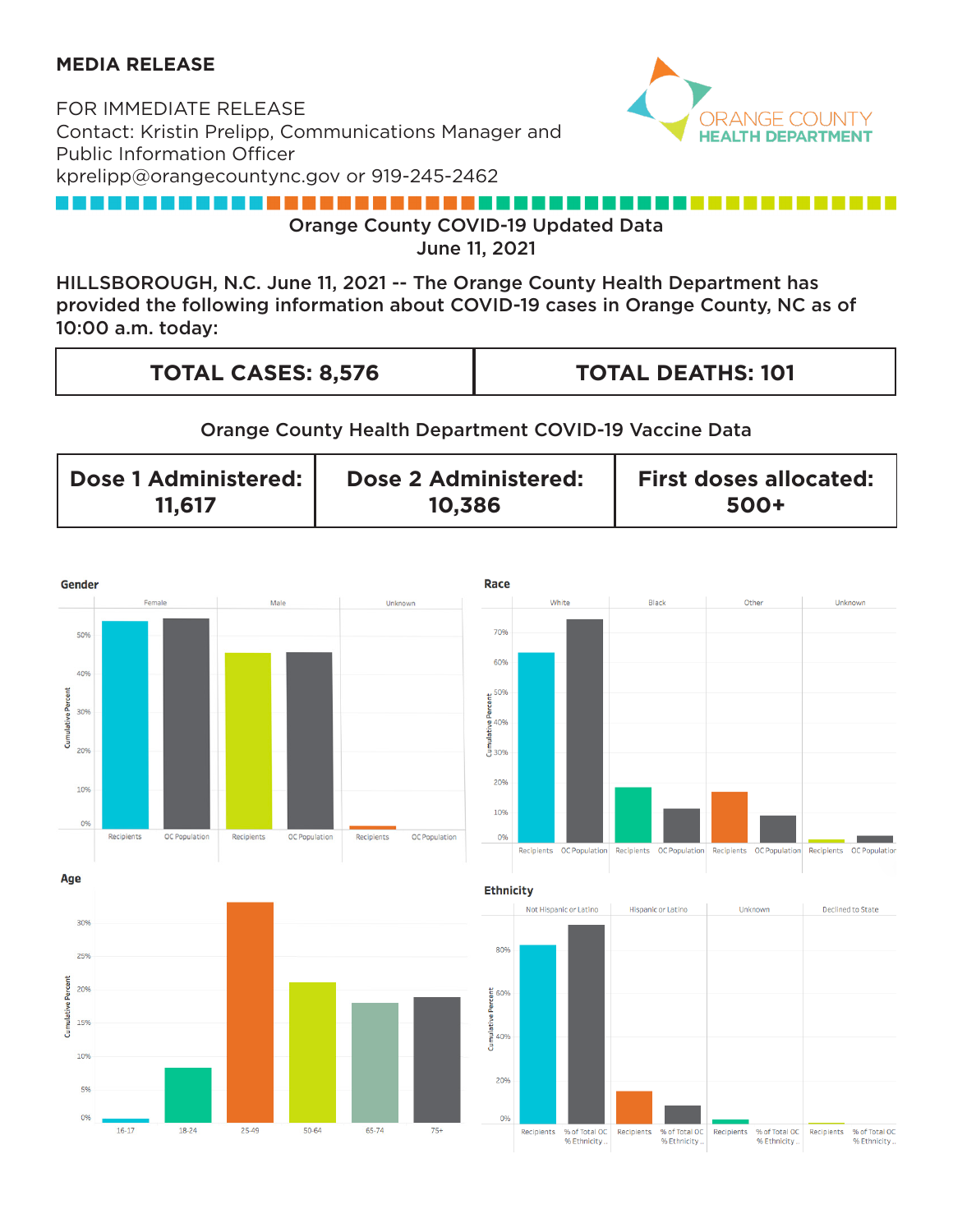## **MEDIA RELEASE**

FOR IMMEDIATE RELEASE Contact: Kristin Prelipp, Communications Manager and Public Information Officer kprelipp@orangecountync.gov or 919-245-2462



## 

Orange County COVID-19 Updated Data

June 11, 2021

HILLSBOROUGH, N.C. June 11, 2021 -- The Orange County Health Department has provided the following information about COVID-19 cases in Orange County, NC as of 10:00 a.m. today:

| <b>TOTAL CASES: 8,576</b> | <b>TOTAL DEATHS: 101</b> |
|---------------------------|--------------------------|
|                           |                          |

## Orange County Health Department COVID-19 Vaccine Data

| Dose 1 Administered: | <b>Dose 2 Administered:</b> | <b>First doses allocated:</b> |
|----------------------|-----------------------------|-------------------------------|
| 11.617               | 10,386                      | 500+                          |

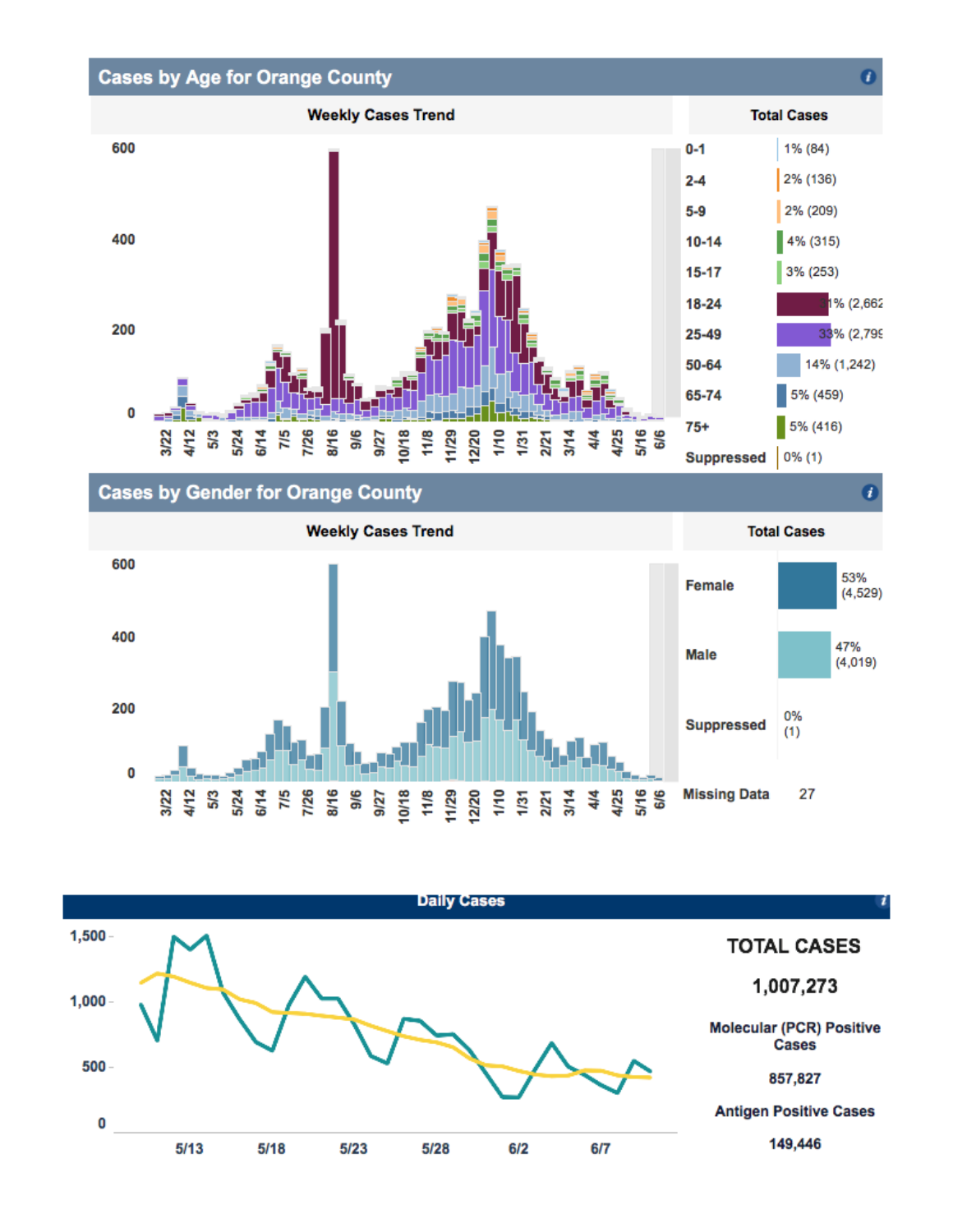

**Cases by Gender for Orange County** 

**Weekly Cases Trend Total Cases** 600 53% **Female**  $(4, 529)$ 400 47% **Male**  $(4,019)$ 200 0% **Suppressed**  $(1)$ 0 **SE E E E E E E E E E E E E E E E** 323<br>473 525 726 876 **Missing Data** 27

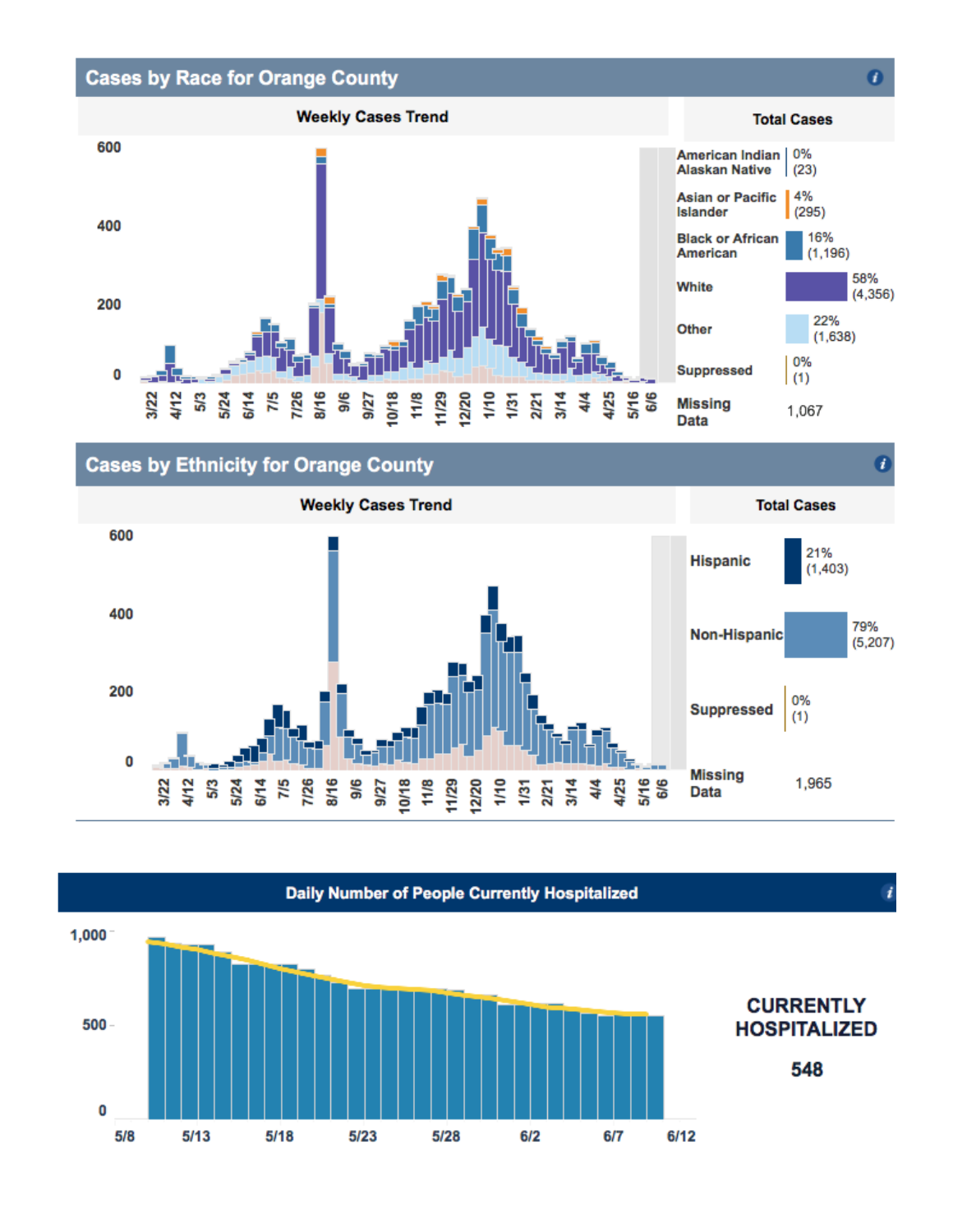